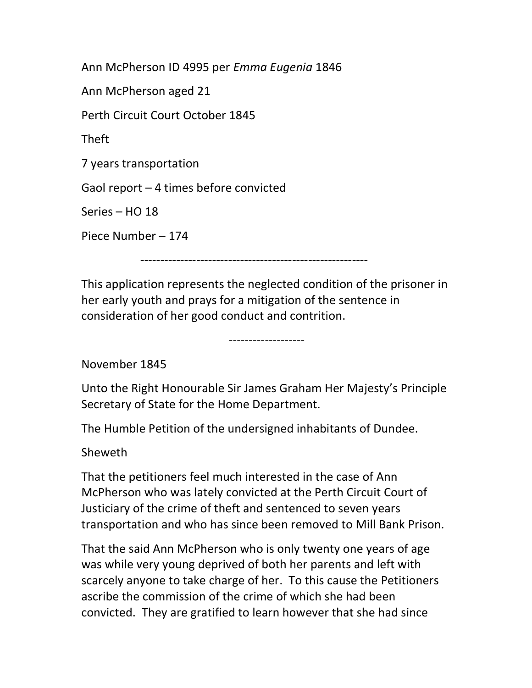Ann McPherson ID 4995 per Emma Eugenia 1846 Ann McPherson aged 21 Perth Circuit Court October 1845 Theft 7 years transportation Gaol report – 4 times before convicted Series – HO 18 Piece Number – 174

-------------------

---------------------------------------------------------

This application represents the neglected condition of the prisoner in her early youth and prays for a mitigation of the sentence in consideration of her good conduct and contrition.

November 1845

Unto the Right Honourable Sir James Graham Her Majesty's Principle Secretary of State for the Home Department.

The Humble Petition of the undersigned inhabitants of Dundee.

Sheweth

That the petitioners feel much interested in the case of Ann McPherson who was lately convicted at the Perth Circuit Court of Justiciary of the crime of theft and sentenced to seven years transportation and who has since been removed to Mill Bank Prison.

That the said Ann McPherson who is only twenty one years of age was while very young deprived of both her parents and left with scarcely anyone to take charge of her. To this cause the Petitioners ascribe the commission of the crime of which she had been convicted. They are gratified to learn however that she had since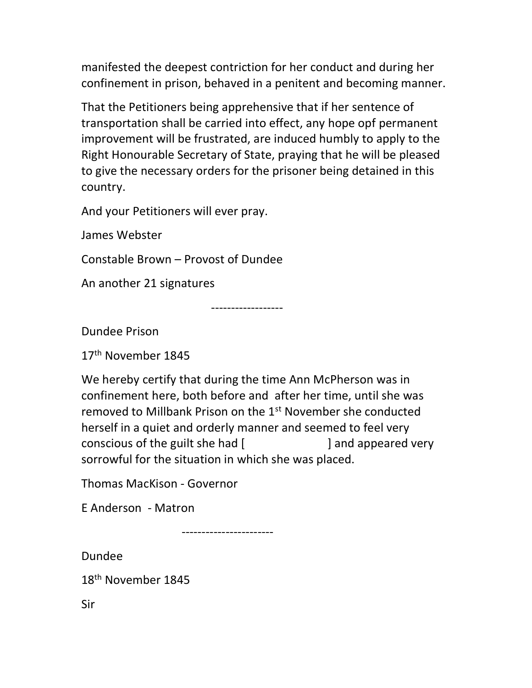manifested the deepest contriction for her conduct and during her confinement in prison, behaved in a penitent and becoming manner.

That the Petitioners being apprehensive that if her sentence of transportation shall be carried into effect, any hope opf permanent improvement will be frustrated, are induced humbly to apply to the Right Honourable Secretary of State, praying that he will be pleased to give the necessary orders for the prisoner being detained in this country.

And your Petitioners will ever pray.

James Webster

Constable Brown – Provost of Dundee

An another 21 signatures

------------------

Dundee Prison

17th November 1845

We hereby certify that during the time Ann McPherson was in confinement here, both before and after her time, until she was removed to Millbank Prison on the 1st November she conducted herself in a quiet and orderly manner and seemed to feel very conscious of the guilt she had [ ] and appeared very sorrowful for the situation in which she was placed.

Thomas MacKison - Governor

E Anderson - Matron

-----------------------

Dundee

18th November 1845

Sir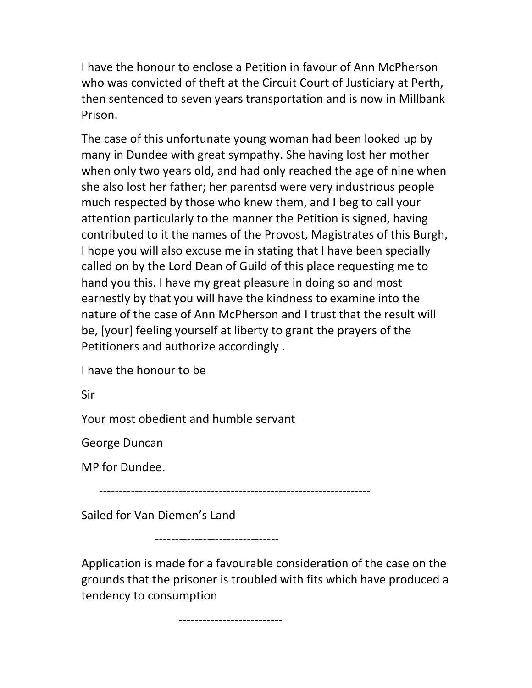I have the honour to enclose a Petition in favour of Ann McPherson who was convicted of theft at the Circuit Court of Justiciary at Perth, then sentenced to seven years transportation and is now in Millbank Prison.

The case of this unfortunate young woman had been looked up by many in Dundee with great sympathy. She having lost her mother when only two years old, and had only reached the age of nine when she also lost her father; her parentsd were very industrious people much respected by those who knew them, and I beg to call your attention particularly to the manner the Petition is signed, having contributed to it the names of the Provost, Magistrates of this Burgh, I hope you will also excuse me in stating that I have been specially called on by the Lord Dean of Guild of this place requesting me to hand you this. I have my great pleasure in doing so and most earnestly by that you will have the kindness to examine into the nature of the case of Ann McPherson and I trust that the result will be, [your] feeling yourself at liberty to grant the prayers of the Petitioners and authorize accordingly .

I have the honour to be

Sir

Your most obedient and humble servant

George Duncan

MP for Dundee.

--------------------------------------------------------------------

Sailed for Van Diemen's Land

-------------------------------

Application is made for a favourable consideration of the case on the grounds that the prisoner is troubled with fits which have produced a tendency to consumption

--------------------------